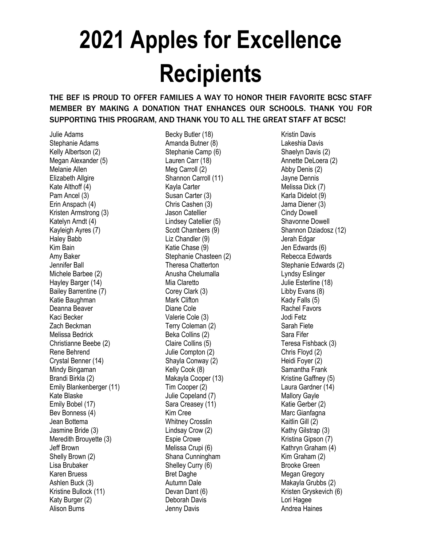## **2021 Apples for Excellence Recipients**

## THE BEF IS PROUD TO OFFER FAMILIES A WAY TO HONOR THEIR FAVORITE BCSC STAFF MEMBER BY MAKING A DONATION THAT ENHANCES OUR SCHOOLS. THANK YOU FOR SUPPORTING THIS PROGRAM, AND THANK YOU TO ALL THE GREAT STAFF AT BCSC!

Julie Adams Stephanie Adams Kelly Albertson (2) Megan Alexander (5) Melanie Allen Elizabeth Allgire Kate Althoff (4) Pam Ancel (3) Erin Anspach (4) Kristen Armstrong (3) Katelyn Arndt (4) Kayleigh Ayres (7) Haley Babb Kim Bain Amy Baker Jennifer Ball Michele Barbee (2) Hayley Barger (14) Bailey Barrentine (7) Katie Baughman Deanna Beaver Kaci Becker Zach Beckman Melissa Bedrick Christianne Beebe (2) Rene Behrend Crystal Benner (14) Mindy Bingaman Brandi Birkla (2) Emily Blankenberger (11) Kate Blaske Emily Bobel (17) Bev Bonness (4) Jean Bottema Jasmine Bride (3) Meredith Brouyette (3) Jeff Brown Shelly Brown (2) Lisa Brubaker Karen Bruess Ashlen Buck (3) Kristine Bullock (11) Katy Burger (2) Alison Burns

Becky Butler (18) Amanda Butner (8) Stephanie Camp (6) Lauren Carr (18) Meg Carroll (2) Shannon Carroll (11) Kayla Carter Susan Carter (3) Chris Cashen (3) Jason Catellier Lindsey Catellier (5) Scott Chambers (9) Liz Chandler (9) Katie Chase (9) Stephanie Chasteen (2) Theresa Chatterton Anusha Chelumalla Mia Claretto Corey Clark (3) Mark Clifton Diane Cole Valerie Cole (3) Terry Coleman (2) Beka Collins (2) Claire Collins (5) Julie Compton (2) Shayla Conway (2) Kelly Cook (8) Makayla Cooper (13) Tim Cooper (2) Julie Copeland (7) Sara Creasey (11) Kim Cree Whitney Crosslin Lindsay Crow (2) Espie Crowe Melissa Crupi (6) Shana Cunningham Shelley Curry (6) Bret Daghe Autumn Dale Devan Dant (6) Deborah Davis Jenny Davis

Kristin Davis Lakeshia Davis Shaelyn Davis (2) Annette DeLoera (2) Abby Denis (2) Jayne Dennis Melissa Dick (7) Karla Didelot (9) Jama Diener (3) Cindy Dowell Shavonne Dowell Shannon Dziadosz (12) Jerah Edgar Jen Edwards (6) Rebecca Edwards Stephanie Edwards (2) Lyndsy Eslinger Julie Esterline (18) Libby Evans (8) Kady Falls (5) Rachel Favors Jodi Fetz Sarah Fiete Sara Fifer Teresa Fishback (3) Chris Floyd (2) Heidi Foyer (2) Samantha Frank Kristine Gaffney (5) Laura Gardner (14) Mallory Gayle Katie Gerber (2) Marc Gianfagna Kaitlin Gill (2) Kathy Gilstrap (3) Kristina Gipson (7) Kathryn Graham (4) Kim Graham (2) Brooke Green Megan Gregory Makayla Grubbs (2) Kristen Gryskevich (6) Lori Hagee Andrea Haines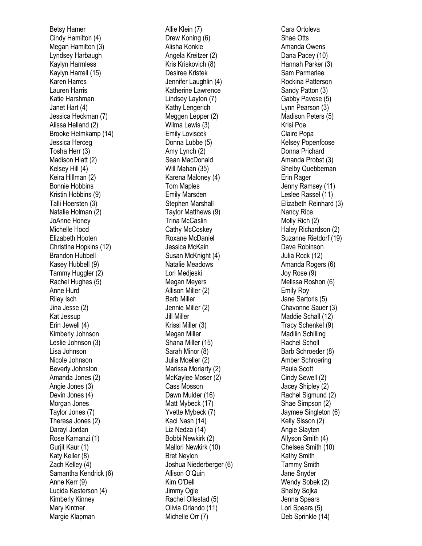Betsy Hamer Cindy Hamilton (4) Megan Hamilton (3) Lyndsey Harbaugh Kaylyn Harmless Kaylyn Harrell (15) Karen Harres Lauren Harris Katie Harshman Janet Hart (4) Jessica Heckman (7) Alissa Helland (2) Brooke Helmkamp (14) Jessica Herceg Tosha Herr (3) Madison Hiatt (2) Kelsey Hill (4) Keira Hillman (2) Bonnie Hobbins Kristin Hobbins (9) Talli Hoersten (3) Natalie Holman (2) JoAnne Honey Michelle Hood Elizabeth Hooten Christina Hopkins (12) Brandon Hubbell Kasey Hubbell (9) Tammy Huggler (2) Rachel Hughes (5) Anne Hurd Riley Isch Jina Jesse (2) Kat Jessup Erin Jewell (4) Kimberly Johnson Leslie Johnson (3) Lisa Johnson Nicole Johnson Beverly Johnston Amanda Jones (2) Angie Jones (3) Devin Jones (4) Morgan Jones Taylor Jones (7) Theresa Jones (2) Darayl Jordan Rose Kamanzi (1) Gurjit Kaur (1) Katy Keller (8) Zach Kelley (4) Samantha Kendrick (6) Anne Kerr (9) Lucida Kesterson (4) Kimberly Kinney Mary Kintner Margie Klapman

Allie Klein (7) Drew Koning (6) Alisha Konkle Angela Kreitzer (2) Kris Kriskovich (8) Desiree Kristek Jennifer Laughlin (4) Katherine Lawrence Lindsey Layton (7) Kathy Lengerich Meggen Lepper (2) Wilma Lewis (3) Emily Loviscek Donna Lubbe (5) Amy Lynch (2) Sean MacDonald Will Mahan (35) Karena Maloney (4) Tom Maples Emily Marsden Stephen Marshall Taylor Matthews (9) Trina McCaslin Cathy McCoskey Roxane McDaniel Jessica McKain Susan McKnight (4) Natalie Meadows Lori Medjeski Megan Meyers Allison Miller (2) Barb Miller Jennie Miller (2) Jill Miller Krissi Miller (3) Megan Miller Shana Miller (15) Sarah Minor (8) Julia Moeller (2) Marissa Moriarty (2) McKaylee Moser (2) Cass Mosson Dawn Mulder (16) Matt Mybeck (17) Yvette Mybeck (7) Kaci Nash (14) Liz Nedza (14) Bobbi Newkirk (2) Mallori Newkirk (10) Bret Neylon Joshua Niederberger (6) Allison O'Quin Kim O'Dell Jimmy Ogle Rachel Ollestad (5) Olivia Orlando (11) Michelle Orr (7)

Cara Or toleva Shae Otts Amanda Owens Dana Pacey (10) Hannah Parker (3) Sam Parmerlee Rockina Patterson Sandy Patton ( 3 ) Gabby Pavese (5) Lynn Pearson (3) Madison Peters (5) Krisi Poe Claire Popa Kelsey Popenfoose Donna Prichard Amanda Probst (3) Shelby Quebbeman Erin Rager Jenny Ramsey (11) Leslee Rassel (11) Elizabeth Reinhard (3) Nancy Rice Molly Rich (2) Haley Richardson (2) Suzanne Rietdorf (19) Dave Robinson Julia Rock (12) Amanda Rogers (6) Joy Rose (9) Melissa Roshon (6) Emily Roy Jane Sartoris (5) Chavonne Sauer (3) Maddie Schall (12) Tracy Schenkel (9) Madilin Schilling Rachel Scholl Barb Schroeder (8) Amber Schroering Paula Scott Cindy Sewell (2) Jacey Shipley (2) Rachel Sigmund (2) Shae Simpson (2) Jaymee Singleton (6) Kelly Sisson (2) Angie Slayten Allyson Smith (4) Chelsea Smith (10) Kathy Smith Tammy Smith Jane Snyder Wendy Sobek (2) Shelby Sojka Jenna Spears Lori Spears (5) Deb Sprinkle (14)